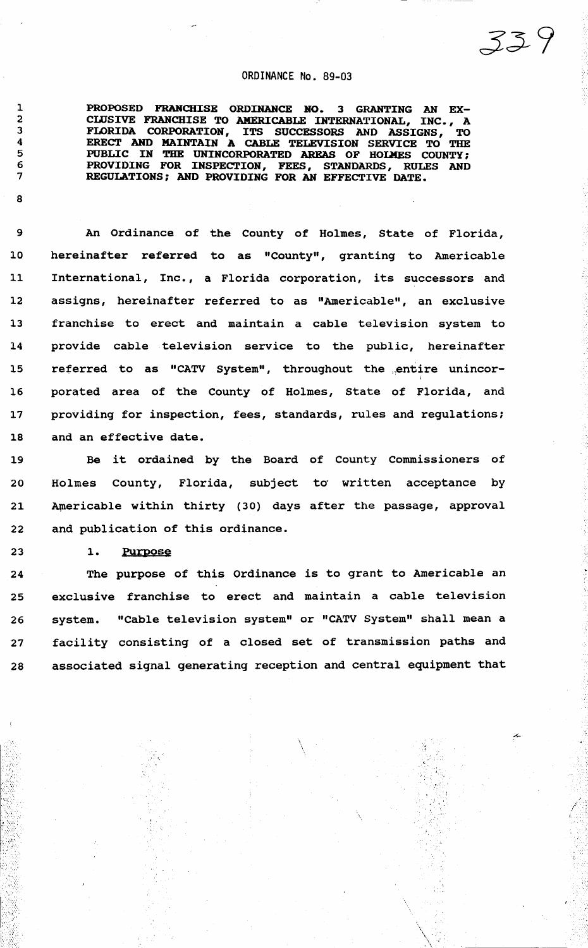#### ORDINANCE No. 89-03

339

PROPOSED FRANCHISE ORDINANCE NO. 3 GRANTING AN EX-CWSIVE FRANCHISE TO AMERICABLE INTERNATIONAL, INC., A FLORIDA CORPORATION, ITS SUCCESSORS AND ASSIGNS, TO ERECT AND MAINTAIN A CABLE TELEVISION SERVICE TO THE PUBLIC IN THE UNINCORPORATED AREAS OF HOLMES COUNTY; PROVIDING FOR INSPECTION, FEES, STANDARDS, RULES AND REGULATIONS; AND PROVIDING FOR AN EFFECTIVE DATE.

9 An Ordinance of the County of Holmes, State of Florida, 10 hereinafter referred to as "County", granting to Americable ll International, Inc., a Florida corporation, its successors and 12 assigns, hereinafter referred to as "Americable", an exclusive 13 franchise to erect and maintain a cable television system to 14 provide cable television service to the public, hereinafter 15 referred to as "CATV System", throughout the entire unincor-16 porated area of the County of Holmes, State of Florida, and 17 providing for inspection, fees, standards, rules and regulations; 18 and an effective date.

19 Be it ordained by the Board of County Commissioners of 20 Holmes County, Florida, subject to written acceptance by 21 Americable within thirty (30) days after the passage, approval 22 and publication of this ordinance.

23 1. Purpose

 $\mathcal{S}^{\mathcal{A}}_{\mathcal{A}}$ 

i.. -.: \

24 The purpose of this Ordinance is to grant to Americable an 25 exclusive franchise to erect and maintain a cable television 26 system. "Cable television system" or "CATV system" shall mean a 27 facility consisting of a closed set of transmission paths and 28 associated signal generating reception and central equipment that

> $\mathbb{I}$  $\mathcal{L}_{\mathcal{L}}$  .

 $\lambda$ . \

8

 $\sim$   $^{\circ}$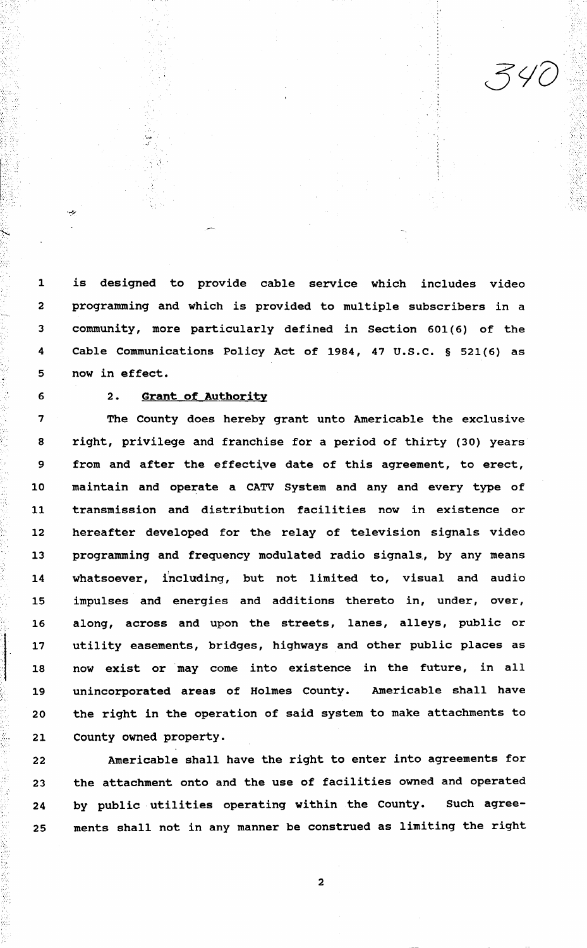1 is designed to provide cable service which includes video 2 programming and which is provided to multiple subscribers in a 3 community, more particularly defined in Section 601 (6) of the 4 Cable Communications Policy Act of 1984, 47 U.S.C. § 521(6) as 5 now in effect.

#### 6 2. Grant of Authority

7 The County does hereby grant unto Americable the exclusive 8 right, privilege and franchise for a period of thirty (30) years 9 from and after the effective date of this agreement, to erect, 10 maintain and operate a CATV System and any and every type of 11 transmission and distribution facilities now in existence or 12 hereafter developed for the relay of television signals video 13 programming and frequency modulated radio signals., by any means 14 whatsoever, including, but not limited to, visual and audio 15 impulses and energies and additions thereto in, under, over, 16 along, across and upon the streets, lanes, alleys, public or 17 utility easements, bridges, highways and other public places as 18 now exist or ·may come into existence in the future, in all 19 unincorporated areas of Holmes County. Americable shall have 20 the right in the operation of said system to make attachments to 21 County owned property.

22 Americable shall have the right to enter into agreements for 23 the attachment onto and the use of facilities owned and operated 24 by public utilities operating within the County. Such agree-25 ments shall not in any manner be construed as limiting the right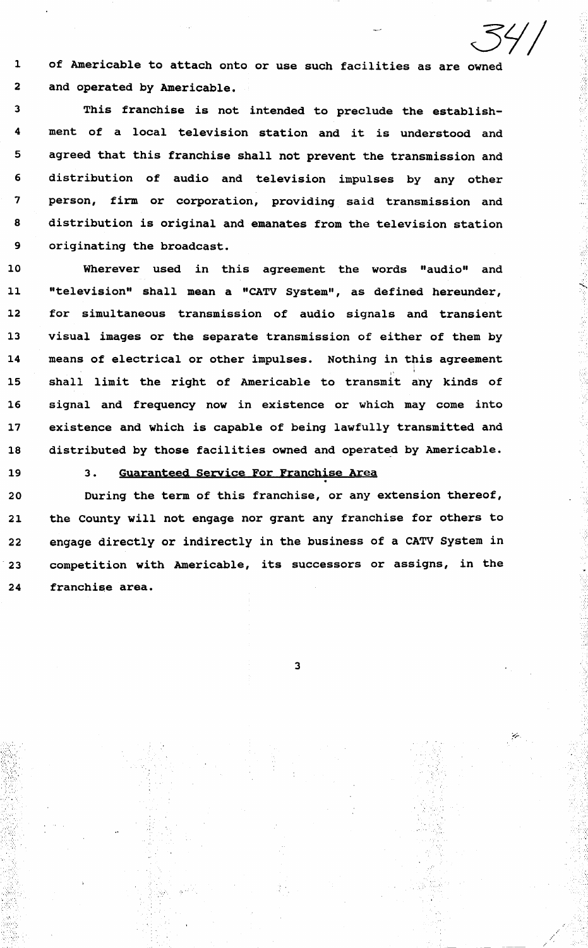l of Americable to attach onto or use such facilities as are owned 2 and operated by Americable.

3 This franchise is not intended to preclude the establish-4 ment of a local television station and it is understood and 5 agreed that this franchise shall not prevent the transmission and 6 distribution of audio and television impulses by any other 7 person, firm or corporation, providing said transmission and 8 distribution is original and emanates from the television station 9 originating the broadcast.

10 Wherever used in this agreement the words "audio" and 11 "television" shall mean a "CATV System", as defined hereunder, 12 for simultaneous transmission of audio signals and transient 13 visual images or the separate transmission of either of them by 14 means of electrical or other impulses. Nothing in this agreement 15 shall limit the right of Americable to transmit any kinds of 16 signal and frequency now in existence or which may come into 17 existence and which is capable of being lawfully transmitted and 18 distributed by those facilities owned and operated by Americable.

·.· ;, *,,:.* 

19 3. <u>Guaranteed Service For Franchise Area</u><br>20 During the term of this franchise, or any extension thereof, 21 the County will not engage nor grant any franchise for others to 22 engage directly or indirectly in the business of a CATV System in 23 competition with Americable, its successors or assigns, in the 24 franchise area.

3

. ..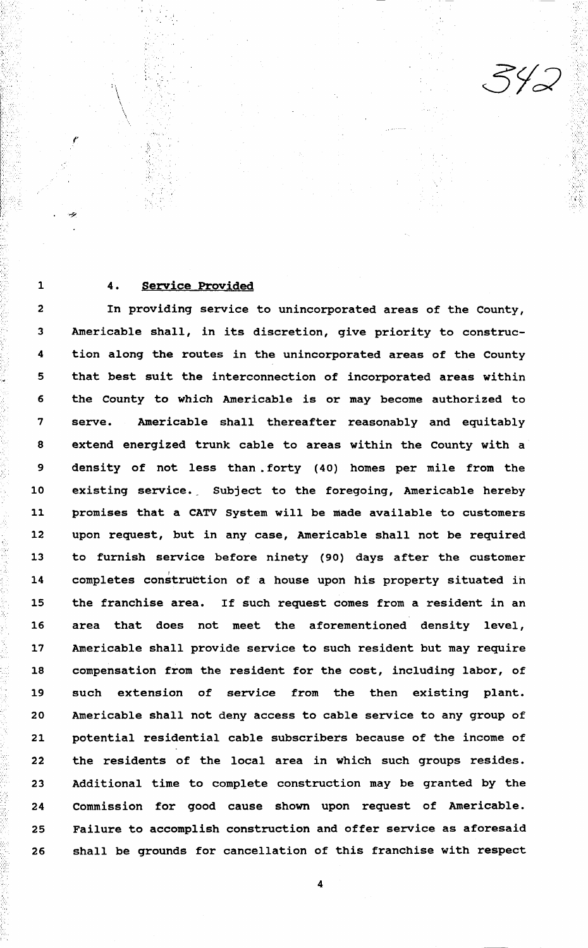. ... ;

# 1 4. Service Provided

'• ;·.

. " :·:·

' ' >:

> 2 In providing service to unincorporated areas of the County, 3 Americable shall, in its discretion, give priority to construc-4 tion along the routes in the unincorporated areas of the County 5 that best suit the interconnection of incorporated areas within 6 the County to which Americable is or may become authorized to 7 serve. Americable shall thereafter reasonably and equitably 8 extend energized trunk cable to areas within the County with a 9 density of not less than. forty (40) homes per mile from the 10 existing service. Subject to the foregoing, Americable hereby 11 promises that a CATV system will be made available to customers 12 upon request, but in any case, Americable shall not be required 13 14 to furnish service before ninety (90) days after the customer completes construction of a house upon his property situated in 15 the franchise area. If such request comes from a resident in an 16 area that does not meet the aforementioned density level, 17 Americable shall provide service to such resident but may require 18 compensation from the resident for the cost, including labor, of 19 such extension of service from the then existing plant. 20 Americable shall not deny access to cable service to any group of 21 potential residential cable subscribers because of the income of 22 the residents of the local area in which such groups resides. 23 Additional time to complete construction may be granted by the 24 Commission for good cause shown upon request of Americable. 25 Failure to accomplish construction and offer service as aforesaid 26 shall be grounds for cancellation of this franchise with respect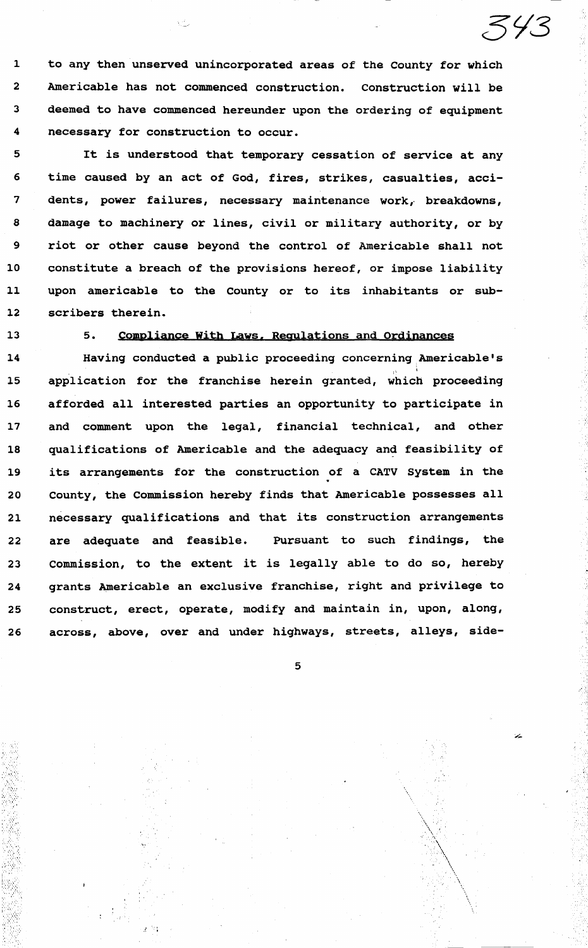l to any then unserved unincorporated areas of the County for which 2 Americable has not commenced construction. Construction will be 3 deemed to have commenced hereunder upon the ordering of equipment 4 necessary for construction to occur.

5 It is understood that temporary cessation of service at any 6 time caused by an act of God, fires, strikes, casualties, acci-7 dents, power failures, necessary maintenance work, breakdowns, 8 damage to machinery or lines, civil or military authority, or by 9 riot or other cause beyond the control of Americable shall not 10 constitute a breach of the provisions hereof, or impose liability 11 upon americable to the county or to its inhabitants or sub-12 scribers therein.

## 13 5. Compliance With Laws, Regulations and Ordinances

14 Having conducted a public proceeding concerning Americable's , .. 15 application for the franchise herein granted, which proceeding 16 afforded all interested parties an opportunity to participate in 17 and comment upon the legal, financial technical, and other 18 qualifications of Americable and the adequacy and feasibility of 19 its arrangements for the construction of a CATV System in the 20 county, the commission hereby finds that Americable possesses all 21 necessary qualifications and that its construction arrangements 22 are adequate and feasible. Pursuant to such findings, the 23 commission, to the extent it is legally able to do so, hereby 24 grants Americable an exclusive franchise, right and privilege to 25 construct, erect, operate, modify and maintain in, upon, along, 26 across, above, over and under highways, streets, alleys, side-

5

 $\mathcal{N}^{\mathcal{I}}$ . \  $\lambda$  $\mathbb{A}$  $\lambda$  $\lambda_i$  $\checkmark$ \., \, .  $\lambda$  .···:,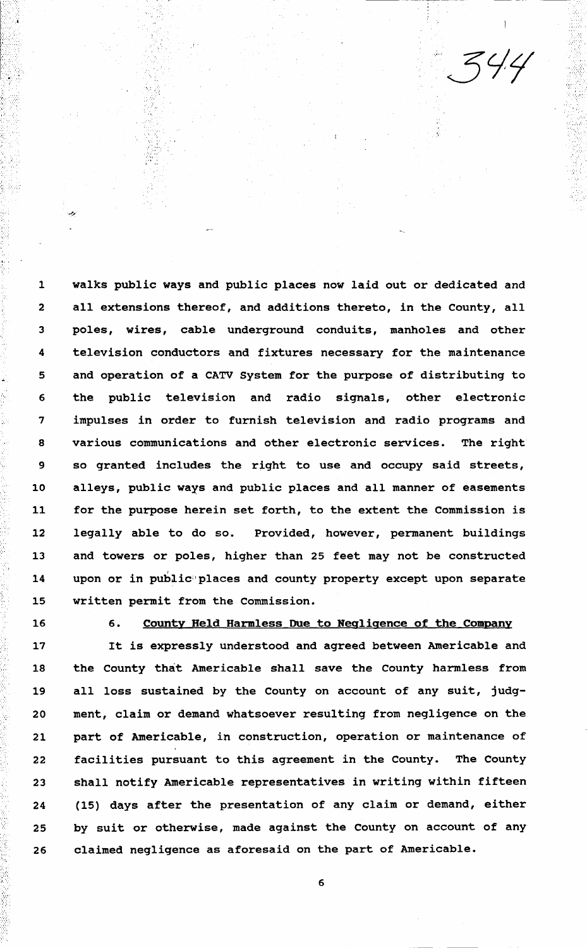$\ddotsc$ ....

1 walks public ways and public places now laid out or dedicated and 2 all extensions thereof, and additions thereto, in the County, all 3 poles, wires, cable underground conduits, manholes and other 4 television conductors and fixtures necessary for the maintenance 5 6 and operation of a CATV system for the purpose of distributing to the public television and radio signals, other electronic 7 impulses in order to furnish television and radio programs and 8 various communications and other electronic services. The right 9 so granted includes the right to use and occupy said streets, 10 alleys, public ways and public places and all manner of easements 11 for the purpose herein set forth, to the extent the Commission is 12 legally able to do so. Provided, however, permanent buildings 13 and towers or poles, higher than 25 feet may not be constructed 14 upon or in public places and county property except upon separate 15 written permit from the Commission.

 $\sim$ 

.. , .. . ' ·~:.

 $\mathbb{C}^{\infty}_{\mathbb{C}}$ 

 $\sim$  :  $\mathcal{G}(\mathcal{H})$  .

 $\S$  . ..

#### 16 6. County Held Harmless Due to Negligence of the Company

17 It is expressly understood and agreed between Americable and 18 the County that Americable shall save the County harmless from 19 all loss sustained by the County on account of any suit, judg-20 ment, claim or demand whatsoever resulting from negligence on the 21 part of Americable, in construction, operation or maintenance of 22 facilities pursuant to this agreement in the County. The County 23 shall notify Americable representatives in writing within fifteen 24 (15) days after the presentation of any claim or demand, either 25 by suit or otherwise, made against the County on account of any 26 claimed negligence as aforesaid on the part of Americable.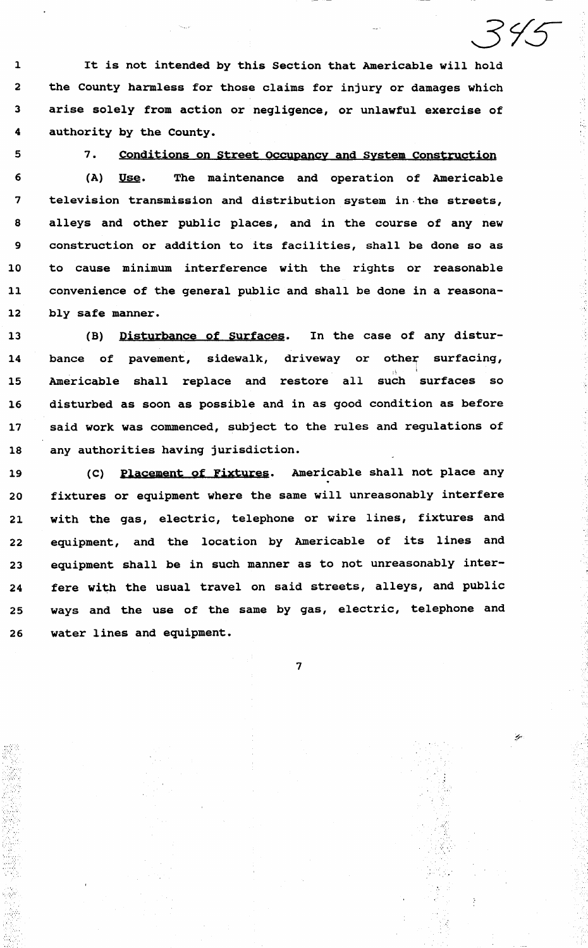1 It is not intended by this Section that Americable will hold 2 the County harmless for those claims for injury or damages which 3 arise solely from action or negligence, or unlawful exercise of 4 authority by the County.

5

*'.-;·:.··,* 

#### 7. Conditions on Street Occupancy and system Construction

6 (A) Use. The maintenance and operation of Americable 7 television transmission and distribution system in.the streets, 8 alleys and other public places, and in the course of any new 9 construction or addition to its facilities, shall be done so as 10 to cause minimum interference with the rights or reasonable 11 convenience of the general public and shall be done in a reasona-12 bly safe manner.

13 (B) Disturbance of Surfaces. In the case of any distur-14 bance of pavement, sidewalk, driveway or other surfacing, 15 Americable shall replace and restore all such surfaces so 16 disturbed as soon as possible and in as good condition as before 17 said work was commenced, subject to the rules and regulations of 18 any authorities having jurisdiction.

19 (C) Placement of Fixtures. Americable shall not place any 20 fixtures or equipment where the same will unreasonably interfere 21 with the gas, electric, telephone or wire lines, fixtures and 22 equipment, and the location by Americable of its lines and 23 equipment shall be in such manner as to not unreasonably inter-24 fere with the usual travel on said streets, alleys, and public 25 ways and the use of the same by gas, electric, telephone and 26 water lines and equipment.

7

 $\mathbb{E}[\mathcal{E}_t]$ 

•·,.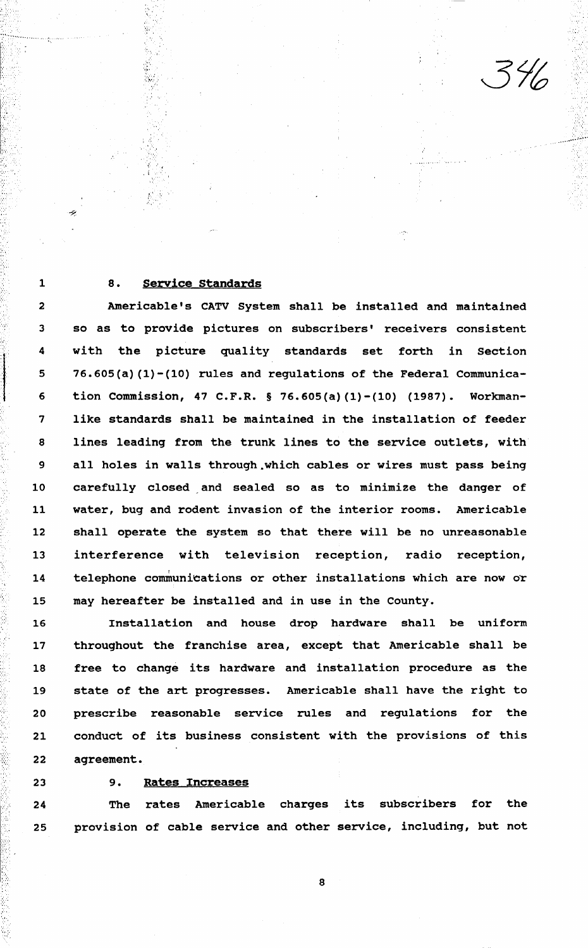## 8. Service Standards

•. 1'

 $\mathcal{N} \rightarrow \mathcal{N}$ 

·-:··

2 3 Americable's CATV System shall be installed and maintained so as to provide pictures on subscribers' receivers consistent 4 5 6 with the picture quality standards set forth in Section 76.605(a) (1)-(10) rules and regulations of the Federal Communication Commission, 47 C.F.R. § 76.605(a) (1)-(10) (1987). Workman-7 like standards shall be maintained in the installation of feeder 8 lines leading from the trunk lines to the service outlets, with 9 all holes in walls through.which cables or wires must pass being 10 carefully closed and sealed so as to minimize the danger of 11 water, bug and rodent invasion of the interior rooms. Americable 12 shall operate the system so that there will be no unreasonable 13 interference with television reception, radio reception, 14 telephone communications or other installations which are now or 15 may hereafter be installed and in use in the County.

16 Installation and house drop hardware shall be uniform 17 throughout the franchise area, except that Americable shall be 18 free to change its hardware and installation procedure as the 19 state of the art progresses. Americable shall have the right to 20 prescribe reasonable service rules and regulations for the 21 conduct of its business consistent with the provisions of this 22 agreement.

....

 $\mathbf{r}$  $\cdot\cdot\cdot$  1

. . .... . . . . ~ .

'·.

#### 23 9. Rates Increases

24 The rates Americable charges its subscribers for the 25 provision of cable service and other service, including, but not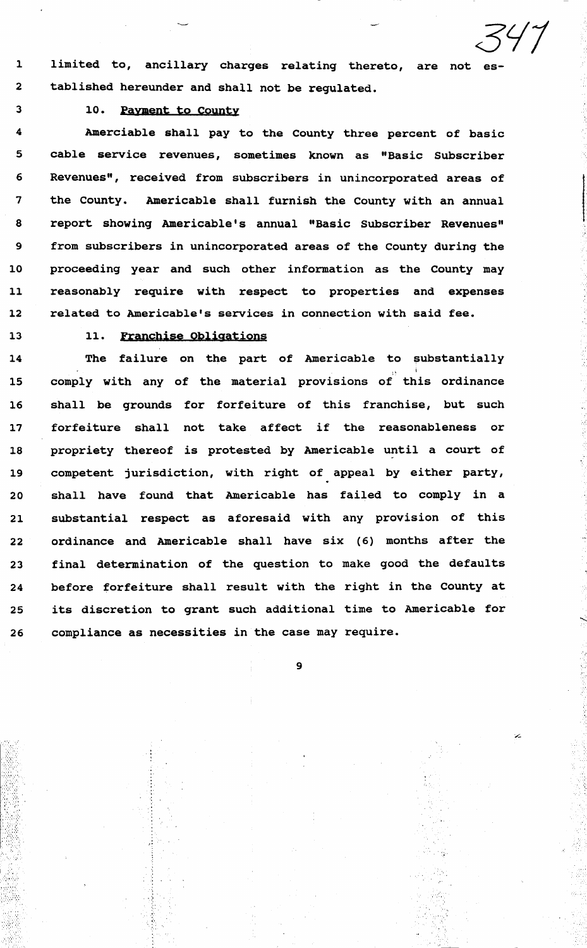1 limited to, ancillary charges relating thereto, are not es-2 tablished hereunder and shall not be regulated.

# 3 10. Payment to County

4 Amerciable shall pay to the County three percent of basic 5 cable service revenues, sometimes known as "Basic Subscriber 6 Revenues", received from subscribers in unincorporated areas of 7 the County. Americable shall furnish the County with an annual 8 report showing Americable's annual "Basic Subscriber Revenues" 9 from subscribers in unincorporated areas of the County during the 10 proceeding year and such other information as the County may 11 reasonably require with respect to properties and expenses 12 related to Americable's services in connection with said fee.

 $\sim$  .  $\sim$ 

## 13 11. Franchise Obligations

14 The failure on the part of Americable to substantially 15 comply with any of the material provisions of this ordinance 16 shall be grounds for forfeiture of this franchise, but such 17 forfeiture shall not take affect if the reasonableness or 18 propriety thereof is protested by Americable until a court of 19 competent jurisdiction, with right of appeal by either party, 20 shall have found that Americable has failed to comply in a 21 substantial respect as aforesaid with any provision of this 22 ordinance and Americable shall have six (6) months after the 23 final determination of the question to make good the defaults 24 before forfeiture shall result with the right in the County at 25 its discretion to grant such additional time to Americable for 26 compliance as necessities in the case may require.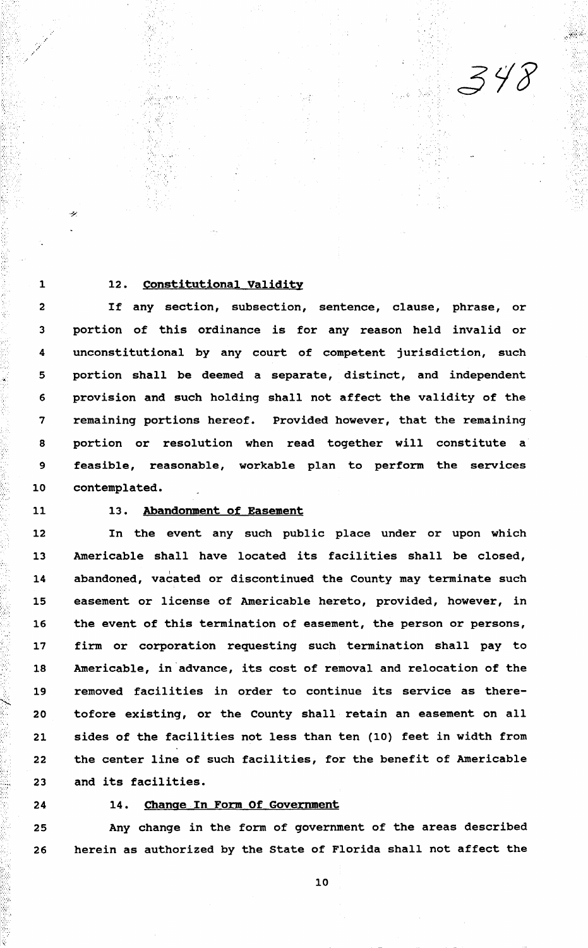## 1 12. Constitutional Validity

·. "

2 If any section, subsection, sentence, clause, phrase, or 3 portion of this ordinance is for any reason held invalid or 4 unconstitutional by any court of competent jurisdiction, such 5 portion shall be deemed a separate, distinct, and independent 6 provision and such holding shall not affect the validity of the 7 remaining portions hereof. Provided however, that the remaining 8 portion or resolution when read together will constitute a 9 feasible, reasonable, workable plan to perform the services 10 contemplated.

... '.".. ... ...

4

# 11 13. Abandonment of Easement

12 In the event any such public place under or upon which 13 Americable shall have located its facilities shall be closed, 14 abandoned, vacated or discontinued the County may terminate such 15 easement or license of Americable hereto, provided, however, in 16 the event of this termination of easement, the person or persons, 17 firm or corporation requesting such termination shall pay to 18 Americable, in advance, its cost of removal and relocation of the 19 20 21 removed facilities in order to continue its service as theretofore existing, or the County shall retain an easement on all sides of the facilities not less than ten (10) feet in width from 22 the center line of such facilities, for the benefit of Americable 23 and its facilities.

... *:> '.•.:.* 

#### 24 14. Change.In Form Of Government

25 Any change in the form of government of the areas described 26 herein as authorized by the state of Florida shall not affect the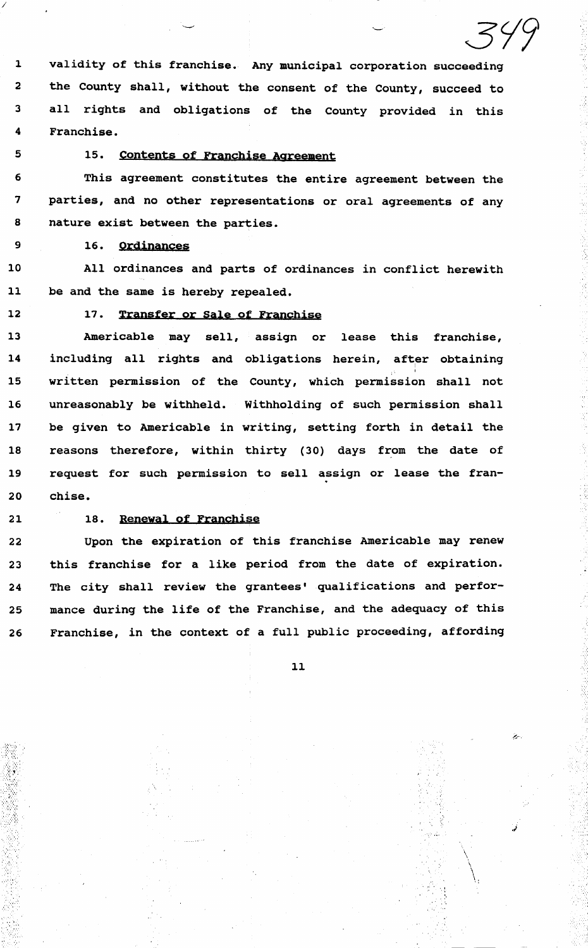1 validity of this franchise. Any municipal corporation succeeding 2 the County shall, without the consent of the County, succeed to 3 all rights and obligations of the county provided in this 4 Franchise.

*/* 

# 5 15. Contents of Franchise Agreement

6 This agreement constitutes the entire agreement between the 7 parties, and no other representations or oral agreements of any 8 nature exist between the parties.

9 16. Ordinances

10 All ordinances and parts of ordinances in conflict herewith 11 be and the same is hereby repealed.

# 12 17. Transfer or Sale of Franchise

13 Americable may sell, assign or lease this franchise, 14 including all rights and obligations herein, after obtaining <sup>i</sup> 15 written permission of the County, which permission shall not 16 unreasonably be withheld. Withholding of such permission shall 17 be given to Americable in writing, setting forth in detail the 18 reasons therefore, within thirty (30) days from the date of 19 request for such permission to sell assign or lease the fran-20 chise.

 $\sim$ 

 $\mathcal{L}^{\text{MSE}}$  .

#### 21 18. Renewal of Franchise

22 Upon the expiration of this franchise Americable may renew 23 this franchise for a like period from the date of expiration. 24 The city shall review the grantees' qualifications and perfor-25 mance during the life of the Franchise, and the adequacy of this 26 Franchise, in the context of a full public proceeding, affording

11

 $\mathcal{L}^{\text{eff}}_{\text{eff}}$ . ~'  $\, \, \cdot \,$